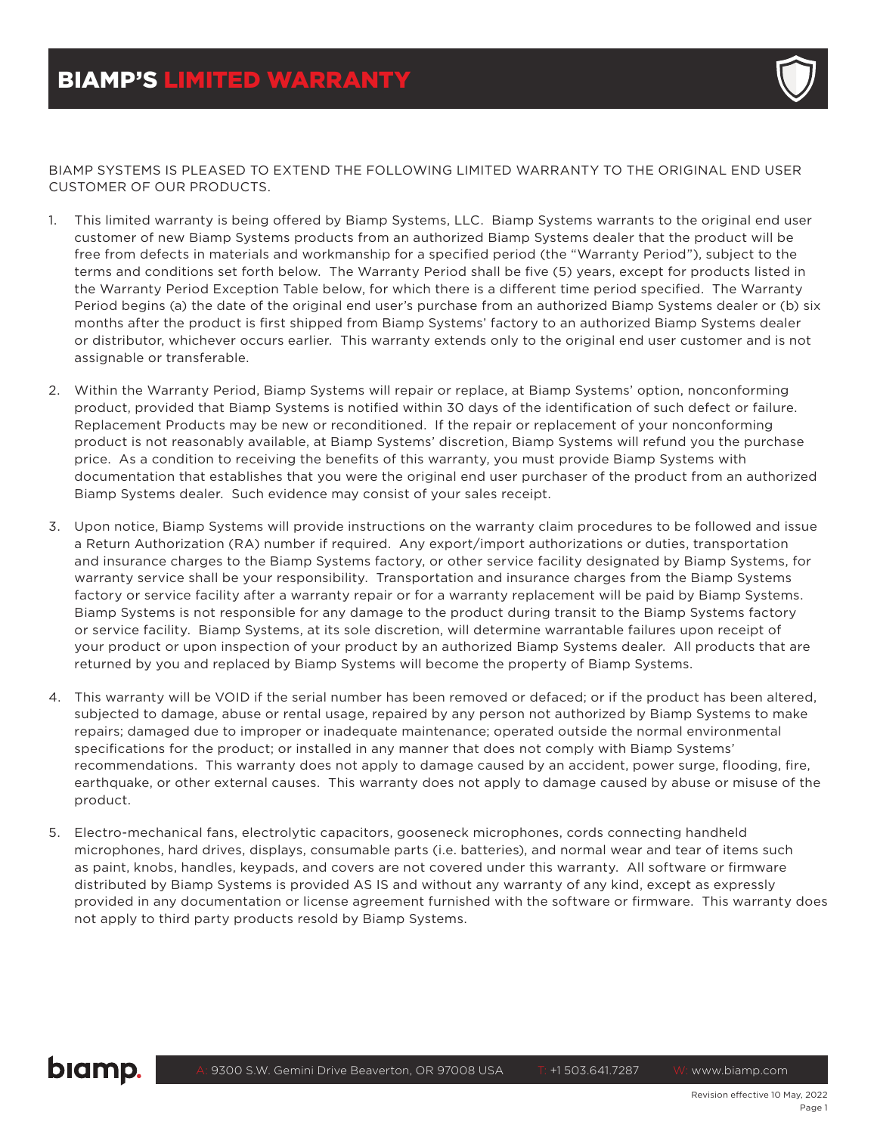

BIAMP SYSTEMS IS PLEASED TO EXTEND THE FOLLOWING LIMITED WARRANTY TO THE ORIGINAL END USER CUSTOMER OF OUR PRODUCTS.

- 1. This limited warranty is being offered by Biamp Systems, LLC. Biamp Systems warrants to the original end user customer of new Biamp Systems products from an authorized Biamp Systems dealer that the product will be free from defects in materials and workmanship for a specified period (the "Warranty Period"), subject to the terms and conditions set forth below. The Warranty Period shall be five (5) years, except for products listed in the Warranty Period Exception Table below, for which there is a different time period specified. The Warranty Period begins (a) the date of the original end user's purchase from an authorized Biamp Systems dealer or (b) six months after the product is first shipped from Biamp Systems' factory to an authorized Biamp Systems dealer or distributor, whichever occurs earlier. This warranty extends only to the original end user customer and is not assignable or transferable.
- 2. Within the Warranty Period, Biamp Systems will repair or replace, at Biamp Systems' option, nonconforming product, provided that Biamp Systems is notified within 30 days of the identification of such defect or failure. Replacement Products may be new or reconditioned. If the repair or replacement of your nonconforming product is not reasonably available, at Biamp Systems' discretion, Biamp Systems will refund you the purchase price. As a condition to receiving the benefits of this warranty, you must provide Biamp Systems with documentation that establishes that you were the original end user purchaser of the product from an authorized Biamp Systems dealer. Such evidence may consist of your sales receipt.
- 3. Upon notice, Biamp Systems will provide instructions on the warranty claim procedures to be followed and issue a Return Authorization (RA) number if required. Any export/import authorizations or duties, transportation and insurance charges to the Biamp Systems factory, or other service facility designated by Biamp Systems, for warranty service shall be your responsibility. Transportation and insurance charges from the Biamp Systems factory or service facility after a warranty repair or for a warranty replacement will be paid by Biamp Systems. Biamp Systems is not responsible for any damage to the product during transit to the Biamp Systems factory or service facility. Biamp Systems, at its sole discretion, will determine warrantable failures upon receipt of your product or upon inspection of your product by an authorized Biamp Systems dealer. All products that are returned by you and replaced by Biamp Systems will become the property of Biamp Systems.
- 4. This warranty will be VOID if the serial number has been removed or defaced; or if the product has been altered, subjected to damage, abuse or rental usage, repaired by any person not authorized by Biamp Systems to make repairs; damaged due to improper or inadequate maintenance; operated outside the normal environmental specifications for the product; or installed in any manner that does not comply with Biamp Systems' recommendations. This warranty does not apply to damage caused by an accident, power surge, flooding, fire, earthquake, or other external causes. This warranty does not apply to damage caused by abuse or misuse of the product.
- 5. Electro-mechanical fans, electrolytic capacitors, gooseneck microphones, cords connecting handheld microphones, hard drives, displays, consumable parts (i.e. batteries), and normal wear and tear of items such as paint, knobs, handles, keypads, and covers are not covered under this warranty. All software or firmware distributed by Biamp Systems is provided AS IS and without any warranty of any kind, except as expressly provided in any documentation or license agreement furnished with the software or firmware. This warranty does not apply to third party products resold by Biamp Systems.

## biamp.